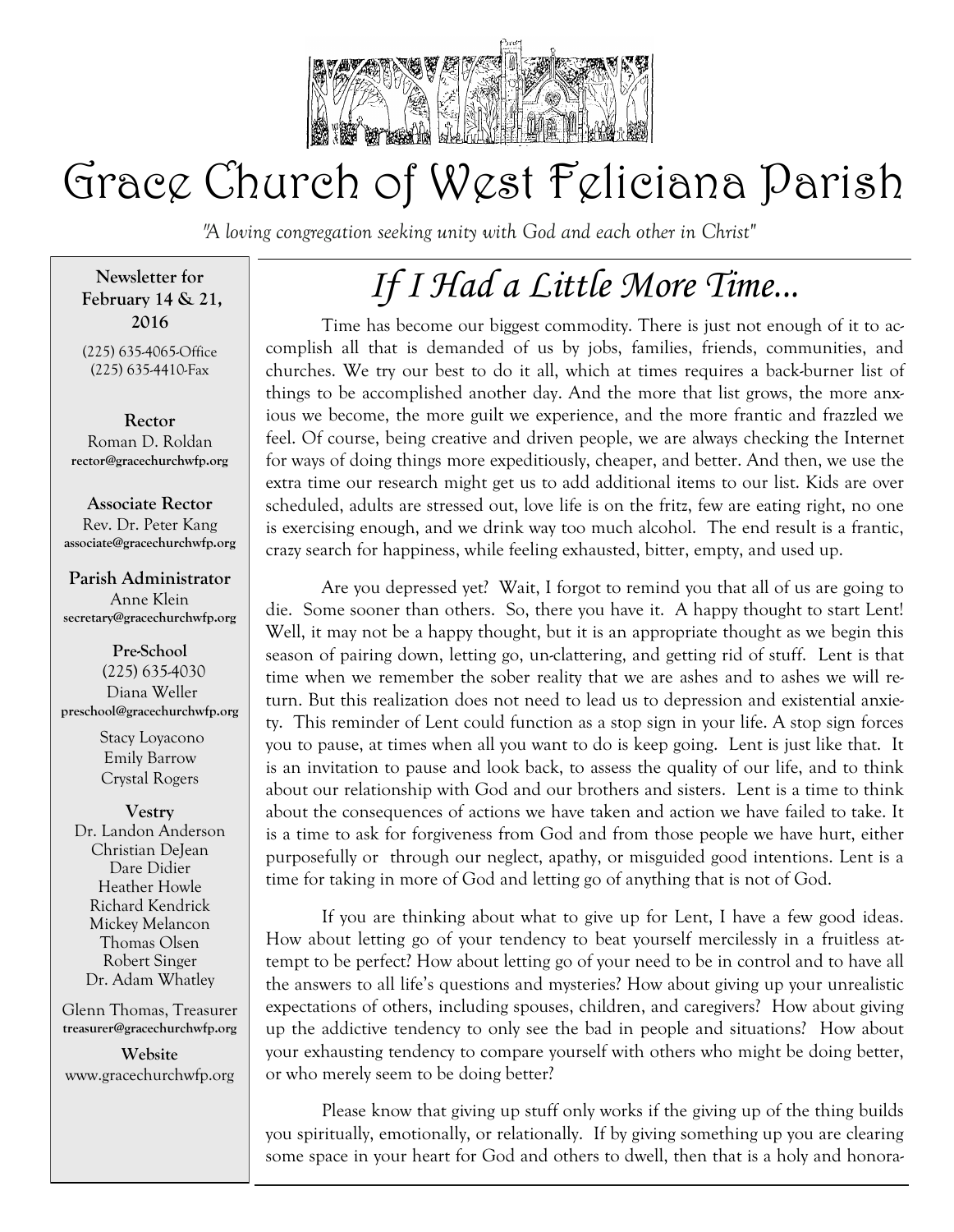

# Grace Church of West Feliciana Parish

*"A loving congregation seeking unity with God and each other in Christ"* 

**Newsletter for February 14 & 21, 2016**

(225) 635-4065-Office (225) 635-4410-Fax

**Rector** Roman D. Roldan **rector@gracechurchwfp.org**

**Associate Rector** Rev. Dr. Peter Kang **associate@gracechurchwfp.org**

#### **Parish Administrator**

Anne Klein **secretary@gracechurchwfp.org**

**Pre-School** (225) 635-4030 Diana Weller **preschool@gracechurchwfp.org** 

> Stacy Loyacono Emily Barrow Crystal Rogers

**Vestry** Dr. Landon Anderson Christian DeJean Dare Didier Heather Howle Richard Kendrick Mickey Melancon Thomas Olsen Robert Singer Dr. Adam Whatley

Glenn Thomas, Treasurer **treasurer@gracechurchwfp.org**

**Website**  www.gracechurchwfp.org

# *If I Had a Little More Time...*

Time has become our biggest commodity. There is just not enough of it to accomplish all that is demanded of us by jobs, families, friends, communities, and churches. We try our best to do it all, which at times requires a back-burner list of things to be accomplished another day. And the more that list grows, the more anxious we become, the more guilt we experience, and the more frantic and frazzled we feel. Of course, being creative and driven people, we are always checking the Internet for ways of doing things more expeditiously, cheaper, and better. And then, we use the extra time our research might get us to add additional items to our list. Kids are over scheduled, adults are stressed out, love life is on the fritz, few are eating right, no one is exercising enough, and we drink way too much alcohol. The end result is a frantic, crazy search for happiness, while feeling exhausted, bitter, empty, and used up.

Are you depressed yet? Wait, I forgot to remind you that all of us are going to die. Some sooner than others. So, there you have it. A happy thought to start Lent! Well, it may not be a happy thought, but it is an appropriate thought as we begin this season of pairing down, letting go, un-clattering, and getting rid of stuff. Lent is that time when we remember the sober reality that we are ashes and to ashes we will return. But this realization does not need to lead us to depression and existential anxiety. This reminder of Lent could function as a stop sign in your life. A stop sign forces you to pause, at times when all you want to do is keep going. Lent is just like that. It is an invitation to pause and look back, to assess the quality of our life, and to think about our relationship with God and our brothers and sisters. Lent is a time to think about the consequences of actions we have taken and action we have failed to take. It is a time to ask for forgiveness from God and from those people we have hurt, either purposefully or through our neglect, apathy, or misguided good intentions. Lent is a time for taking in more of God and letting go of anything that is not of God.

If you are thinking about what to give up for Lent, I have a few good ideas. How about letting go of your tendency to beat yourself mercilessly in a fruitless attempt to be perfect? How about letting go of your need to be in control and to have all the answers to all life's questions and mysteries? How about giving up your unrealistic expectations of others, including spouses, children, and caregivers? How about giving up the addictive tendency to only see the bad in people and situations? How about your exhausting tendency to compare yourself with others who might be doing better, or who merely seem to be doing better?

Please know that giving up stuff only works if the giving up of the thing builds you spiritually, emotionally, or relationally. If by giving something up you are clearing some space in your heart for God and others to dwell, then that is a holy and honora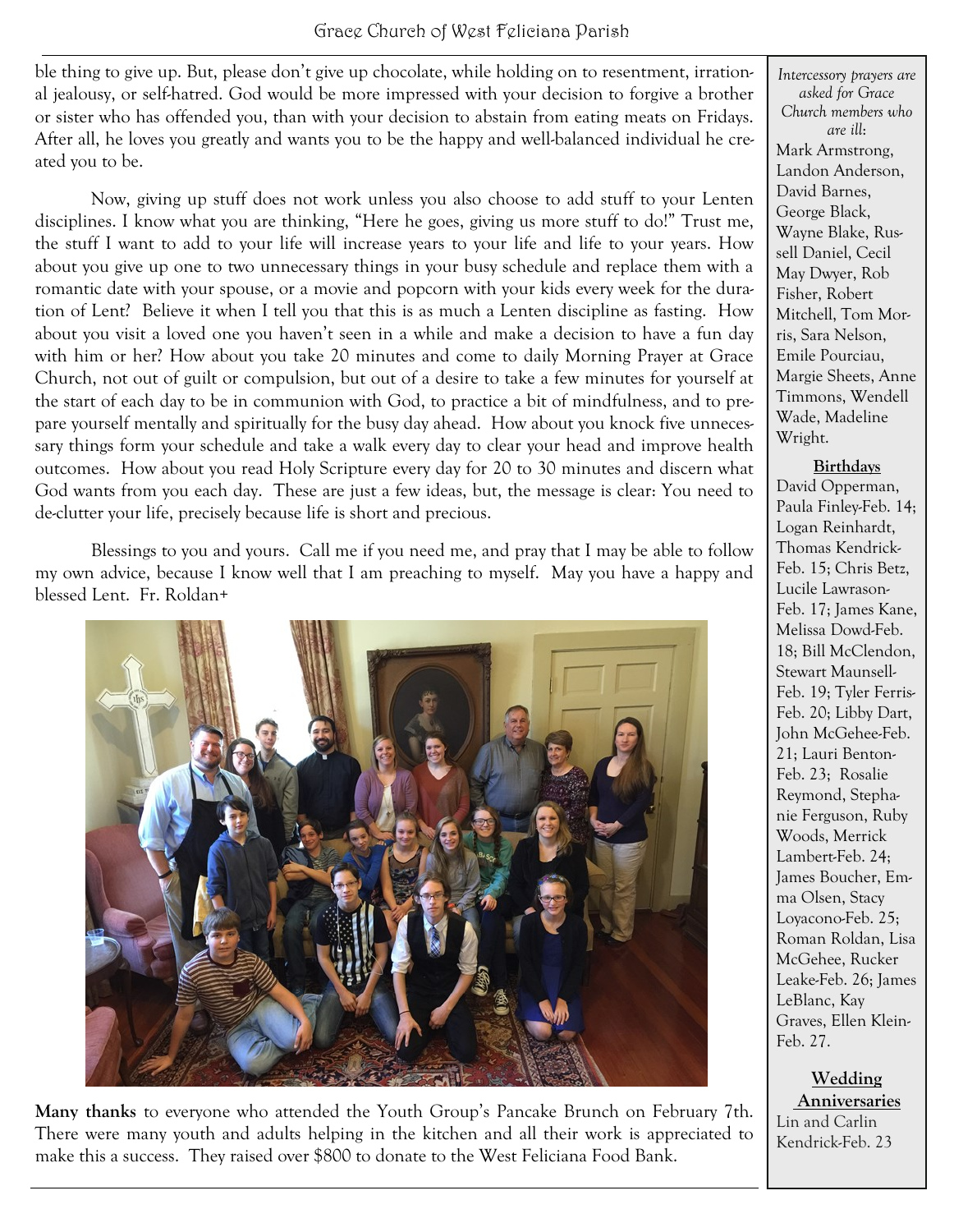ble thing to give up. But, please don't give up chocolate, while holding on to resentment, irrational jealousy, or self-hatred. God would be more impressed with your decision to forgive a brother or sister who has offended you, than with your decision to abstain from eating meats on Fridays. After all, he loves you greatly and wants you to be the happy and well-balanced individual he created you to be.

Now, giving up stuff does not work unless you also choose to add stuff to your Lenten disciplines. I know what you are thinking, "Here he goes, giving us more stuff to do!" Trust me, the stuff I want to add to your life will increase years to your life and life to your years. How about you give up one to two unnecessary things in your busy schedule and replace them with a romantic date with your spouse, or a movie and popcorn with your kids every week for the duration of Lent? Believe it when I tell you that this is as much a Lenten discipline as fasting. How about you visit a loved one you haven't seen in a while and make a decision to have a fun day with him or her? How about you take 20 minutes and come to daily Morning Prayer at Grace Church, not out of guilt or compulsion, but out of a desire to take a few minutes for yourself at the start of each day to be in communion with God, to practice a bit of mindfulness, and to prepare yourself mentally and spiritually for the busy day ahead. How about you knock five unnecessary things form your schedule and take a walk every day to clear your head and improve health outcomes. How about you read Holy Scripture every day for 20 to 30 minutes and discern what God wants from you each day. These are just a few ideas, but, the message is clear: You need to de-clutter your life, precisely because life is short and precious.

Blessings to you and yours. Call me if you need me, and pray that I may be able to follow my own advice, because I know well that I am preaching to myself. May you have a happy and blessed Lent. Fr. Roldan+



**Many thanks** to everyone who attended the Youth Group's Pancake Brunch on February 7th. There were many youth and adults helping in the kitchen and all their work is appreciated to make this a success. They raised over \$800 to donate to the West Feliciana Food Bank.

*Intercessory prayers are asked for Grace Church members who are ill*: Mark Armstrong, Landon Anderson, David Barnes, George Black, Wayne Blake, Russell Daniel, Cecil May Dwyer, Rob Fisher, Robert Mitchell, Tom Morris, Sara Nelson, Emile Pourciau, Margie Sheets, Anne Timmons, Wendell Wade, Madeline Wright.

#### **Birthdays**

David Opperman, Paula Finley-Feb. 14; Logan Reinhardt, Thomas Kendrick-Feb. 15; Chris Betz, Lucile Lawrason-Feb. 17; James Kane, Melissa Dowd-Feb. 18; Bill McClendon, Stewart Maunsell-Feb. 19; Tyler Ferris-Feb. 20; Libby Dart, John McGehee-Feb. 21; Lauri Benton-Feb. 23; Rosalie Reymond, Stephanie Ferguson, Ruby Woods, Merrick Lambert-Feb. 24; James Boucher, Emma Olsen, Stacy Loyacono-Feb. 25; Roman Roldan, Lisa McGehee, Rucker Leake-Feb. 26; James LeBlanc, Kay Graves, Ellen Klein-Feb. 27.

### **Wedding**

**Anniversaries** Lin and Carlin Kendrick-Feb. 23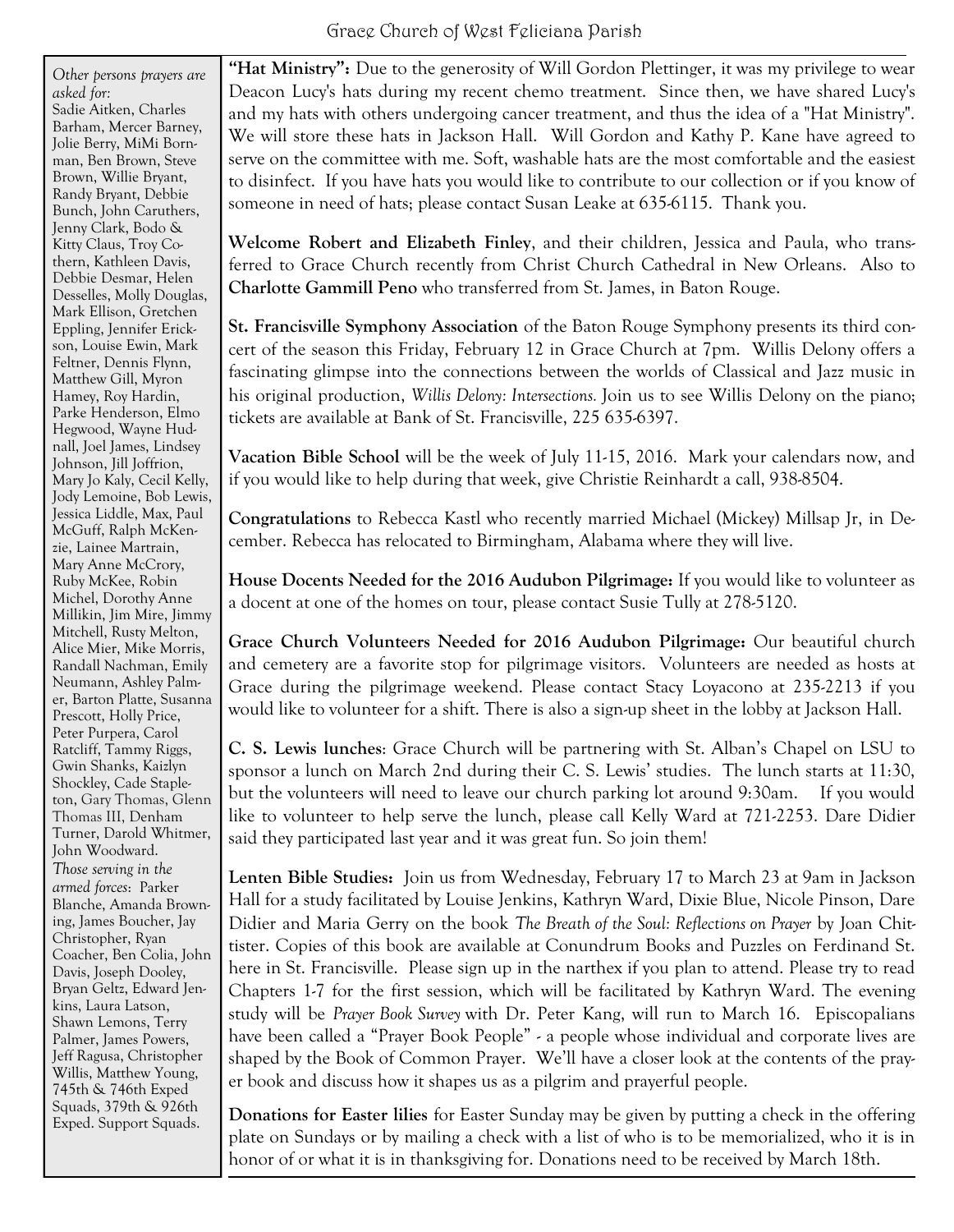*Other persons prayers are asked for:* Sadie Aitken, Charles Barham, Mercer Barney, Jolie Berry, MiMi Bornman, Ben Brown, Steve Brown, Willie Bryant, Randy Bryant, Debbie Bunch, John Caruthers, Jenny Clark, Bodo & Kitty Claus, Troy Cothern, Kathleen Davis, Debbie Desmar, Helen Desselles, Molly Douglas, Mark Ellison, Gretchen Eppling, Jennifer Erickson, Louise Ewin, Mark Feltner, Dennis Flynn, Matthew Gill, Myron Hamey, Roy Hardin, Parke Henderson, Elmo Hegwood, Wayne Hudnall, Joel James, Lindsey Johnson, Jill Joffrion, Mary Jo Kaly, Cecil Kelly, Jody Lemoine, Bob Lewis, Jessica Liddle, Max, Paul McGuff, Ralph McKenzie, Lainee Martrain, Mary Anne McCrory, Ruby McKee, Robin Michel, Dorothy Anne Millikin, Jim Mire, Jimmy Mitchell, Rusty Melton, Alice Mier, Mike Morris, Randall Nachman, Emily Neumann, Ashley Palmer, Barton Platte, Susanna Prescott, Holly Price, Peter Purpera, Carol Ratcliff, Tammy Riggs, Gwin Shanks, Kaizlyn Shockley, Cade Stapleton, Gary Thomas, Glenn Thomas III, Denham Turner, Darold Whitmer, John Woodward. *Those serving in the armed forces*: Parker Blanche, Amanda Browning, James Boucher, Jay Christopher, Ryan Coacher, Ben Colia, John Davis, Joseph Dooley, Bryan Geltz, Edward Jenkins, Laura Latson, Shawn Lemons, Terry Palmer, James Powers, Jeff Ragusa, Christopher Willis, Matthew Young, 745th & 746th Exped Squads, 379th & 926th Exped. Support Squads.

**"Hat Ministry":** Due to the generosity of Will Gordon Plettinger, it was my privilege to wear Deacon Lucy's hats during my recent chemo treatment. Since then, we have shared Lucy's and my hats with others undergoing cancer treatment, and thus the idea of a "Hat Ministry". We will store these hats in Jackson Hall. Will Gordon and Kathy P. Kane have agreed to serve on the committee with me. Soft, washable hats are the most comfortable and the easiest to disinfect. If you have hats you would like to contribute to our collection or if you know of someone in need of hats; please contact Susan Leake at 635-6115. Thank you.

**Welcome Robert and Elizabeth Finley**, and their children, Jessica and Paula, who transferred to Grace Church recently from Christ Church Cathedral in New Orleans. Also to **Charlotte Gammill Peno** who transferred from St. James, in Baton Rouge.

**St. Francisville Symphony Association** of the Baton Rouge Symphony presents its third concert of the season this Friday, February 12 in Grace Church at 7pm. Willis Delony offers a fascinating glimpse into the connections between the worlds of Classical and Jazz music in his original production, *Willis Delony: Intersections.* Join us to see Willis Delony on the piano; tickets are available at Bank of St. Francisville, 225 635-6397.

**Vacation Bible School** will be the week of July 11-15, 2016. Mark your calendars now, and if you would like to help during that week, give Christie Reinhardt a call, 938-8504.

**Congratulations** to Rebecca Kastl who recently married Michael (Mickey) Millsap Jr, in December. Rebecca has relocated to Birmingham, Alabama where they will live.

**House Docents Needed for the 2016 Audubon Pilgrimage:** If you would like to volunteer as a docent at one of the homes on tour, please contact Susie Tully at 278-5120.

**Grace Church Volunteers Needed for 2016 Audubon Pilgrimage:** Our beautiful church and cemetery are a favorite stop for pilgrimage visitors. Volunteers are needed as hosts at Grace during the pilgrimage weekend. Please contact Stacy Loyacono at 235-2213 if you would like to volunteer for a shift. There is also a sign-up sheet in the lobby at Jackson Hall.

**C. S. Lewis lunches**: Grace Church will be partnering with St. Alban's Chapel on LSU to sponsor a lunch on March 2nd during their C. S. Lewis' studies. The lunch starts at 11:30, but the volunteers will need to leave our church parking lot around 9:30am. If you would like to volunteer to help serve the lunch, please call Kelly Ward at 721-2253. Dare Didier said they participated last year and it was great fun. So join them!

**Lenten Bible Studies:** Join us from Wednesday, February 17 to March 23 at 9am in Jackson Hall for a study facilitated by Louise Jenkins, Kathryn Ward, Dixie Blue, Nicole Pinson, Dare Didier and Maria Gerry on the book *The Breath of the Soul: Reflections on Prayer* by Joan Chittister. Copies of this book are available at Conundrum Books and Puzzles on Ferdinand St. here in St. Francisville. Please sign up in the narthex if you plan to attend. Please try to read Chapters 1-7 for the first session, which will be facilitated by Kathryn Ward. The evening study will be *Prayer Book Survey* with Dr. Peter Kang, will run to March 16. Episcopalians have been called a "Prayer Book People" - a people whose individual and corporate lives are shaped by the Book of Common Prayer. We'll have a closer look at the contents of the prayer book and discuss how it shapes us as a pilgrim and prayerful people.

**Donations for Easter lilies** for Easter Sunday may be given by putting a check in the offering plate on Sundays or by mailing a check with a list of who is to be memorialized, who it is in honor of or what it is in thanksgiving for. Donations need to be received by March 18th.